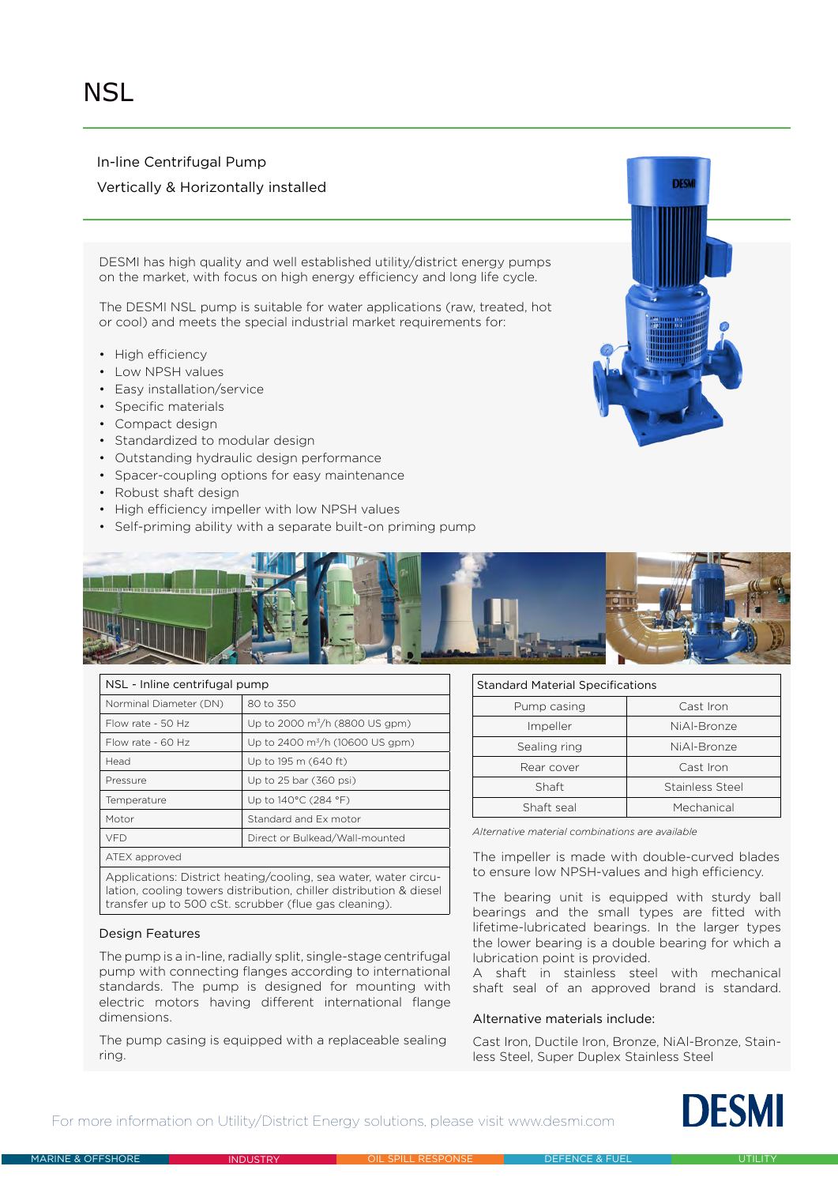In-line Centrifugal Pump

## Vertically & Horizontally installed

DESMI has high quality and well established utility/district energy pumps on the market, with focus on high energy efficiency and long life cycle.

The DESMI NSL pump is suitable for water applications (raw, treated, hot or cool) and meets the special industrial market requirements for:

- High efficiency
- Low NPSH values
- Easy installation/service
- Specific materials
- Compact design
- Standardized to modular design
- Outstanding hydraulic design performance
- Spacer-coupling options for easy maintenance
- Robust shaft design
- High efficiency impeller with low NPSH values
- Self-priming ability with a separate built-on priming pump





| NSL - Inline centrifugal pump                                                                                                         |                                            |  |  |  |  |  |  |  |
|---------------------------------------------------------------------------------------------------------------------------------------|--------------------------------------------|--|--|--|--|--|--|--|
| Norminal Diameter (DN)                                                                                                                | 80 to 350                                  |  |  |  |  |  |  |  |
| Flow rate - 50 Hz                                                                                                                     | Up to 2000 m <sup>3</sup> /h (8800 US gpm) |  |  |  |  |  |  |  |
| Flow rate - $60$ Hz                                                                                                                   | Up to 2400 $\rm m^3/h$ (10600 US gpm)      |  |  |  |  |  |  |  |
| Head                                                                                                                                  | Up to 195 m (640 ft)                       |  |  |  |  |  |  |  |
| Pressure                                                                                                                              | Up to 25 bar (360 psi)                     |  |  |  |  |  |  |  |
| Temperature                                                                                                                           | Up to 140°C (284 °F)                       |  |  |  |  |  |  |  |
| Motor                                                                                                                                 | Standard and Ex motor                      |  |  |  |  |  |  |  |
| <b>VFD</b>                                                                                                                            | Direct or Bulkead/Wall-mounted             |  |  |  |  |  |  |  |
| ATEX approved                                                                                                                         |                                            |  |  |  |  |  |  |  |
| Applications: District heating/cooling, sea water, water circu-<br>lation, cooling towers distribution, chiller distribution & diesel |                                            |  |  |  |  |  |  |  |

### Design Features

The pump is a in-line, radially split, single-stage centrifugal pump with connecting flanges according to international standards. The pump is designed for mounting with electric motors having different international flange dimensions.

The pump casing is equipped with a replaceable sealing ring.

Standard Material Specifications

| Pump casing  | Cast Iron       |  |  |  |  |  |
|--------------|-----------------|--|--|--|--|--|
| Impeller     | NiAl-Bronze     |  |  |  |  |  |
| Sealing ring | NiAl-Bronze     |  |  |  |  |  |
| Rear cover   | Cast Iron       |  |  |  |  |  |
| Shaft        | Stainless Steel |  |  |  |  |  |
| Shaft seal   | Mechanical      |  |  |  |  |  |

*Alternative material combinations are available*

The impeller is made with double-curved blades to ensure low NPSH-values and high efficiency.

transfer up to 500 cSt. scrubber (flue gas cleaning). The bearing unit is equipped with sturdy ball bearings and the small types are fitted with lifetime-lubricated bearings. In the larger types the lower bearing is a double bearing for which a lubrication point is provided.

> A shaft in stainless steel with mechanical shaft seal of an approved brand is standard.

### Alternative materials include:

Cast Iron, Ductile Iron, Bronze, NiAl-Bronze, Stainless Steel, Super Duplex Stainless Steel

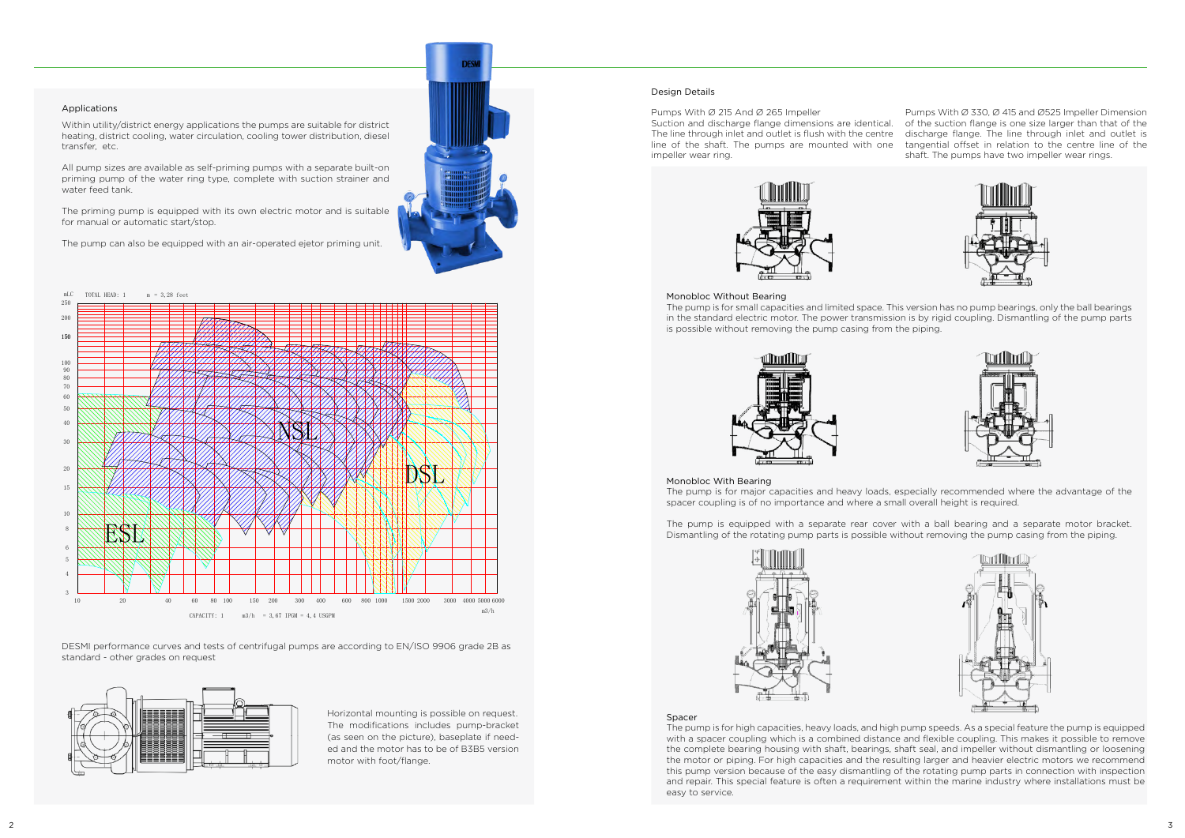

### Applications

Within utility/district energy applications the pumps are suitable for district heating, district cooling, water circulation, cooling tower distribution, diesel

transfer, etc.

All pump sizes are available as self-priming pumps with a separate built-on priming pump of the water ring type, complete with suction strainer and

water feed tank.

The priming pump is equipped with its own electric motor and is suitable

for manual or automatic start/stop.

The pump can also be equipped with an air-operated ejetor priming unit.

Pumps With Ø 215 And Ø 265 Impeller

Suction and discharge flange dimensions are identical. The line through inlet and outlet is flush with the centre line of the shaft. The pumps are mounted with one impeller wear ring.



Pumps With Ø 330, Ø 415 and Ø525 Impeller Dimension of the suction flange is one size larger than that of the discharge flange. The line through inlet and outlet is tangential offset in relation to the centre line of the shaft. The pumps have two impeller wear rings.







### Monobloc Without Bearing

The pump is for small capacities and limited space. This version has no pump bearings, only the ball bearings in the standard electric motor. The power transmission is by rigid coupling. Dismantling of the pump parts is possible without removing the pump casing from the piping.



### Monobloc With Bearing

The pump is for major capacities and heavy loads, especially recommended where the advantage of the spacer coupling is of no importance and where a small overall height is required.

The pump is equipped with a separate rear cover with a ball bearing and a separate motor bracket. Dismantling of the rotating pump parts is possible without removing the pump casing from the piping.



#### **Spacer**

### Design Details

DESMI performance curves and tests of centrifugal pumps are according to EN/ISO 9906 grade 2B as standard - other grades on request



The pump is for high capacities, heavy loads, and high pump speeds. As a special feature the pump is equipped with a spacer coupling which is a combined distance and flexible coupling. This makes it possible to remove the complete bearing housing with shaft, bearings, shaft seal, and impeller without dismantling or loosening the motor or piping. For high capacities and the resulting larger and heavier electric motors we recommend this pump version because of the easy dismantling of the rotating pump parts in connection with inspection and repair. This special feature is often a requirement within the marine industry where installations must be easy to service.

Horizontal mounting is possible on request. The modifications includes pump-bracket (as seen on the picture), baseplate if needed and the motor has to be of B3B5 version motor with foot/flange.

4 6 8 10 15 20 40 50 60 30 80 100  $m<sub>L</sub>$ m3/h 3 5 70  $90$  $CAPACITY: 1$  m3/h = 3,67 IPGM = 4,4 USGPM TOTAL HEAD:  $1 \qquad m = 3,28$  feet 10 20 40 60 80 100 150 200 300 400 600 800 1000 1500 2000 3000 4000 150 ESL NSL DSL 200  $250$ 5000 6000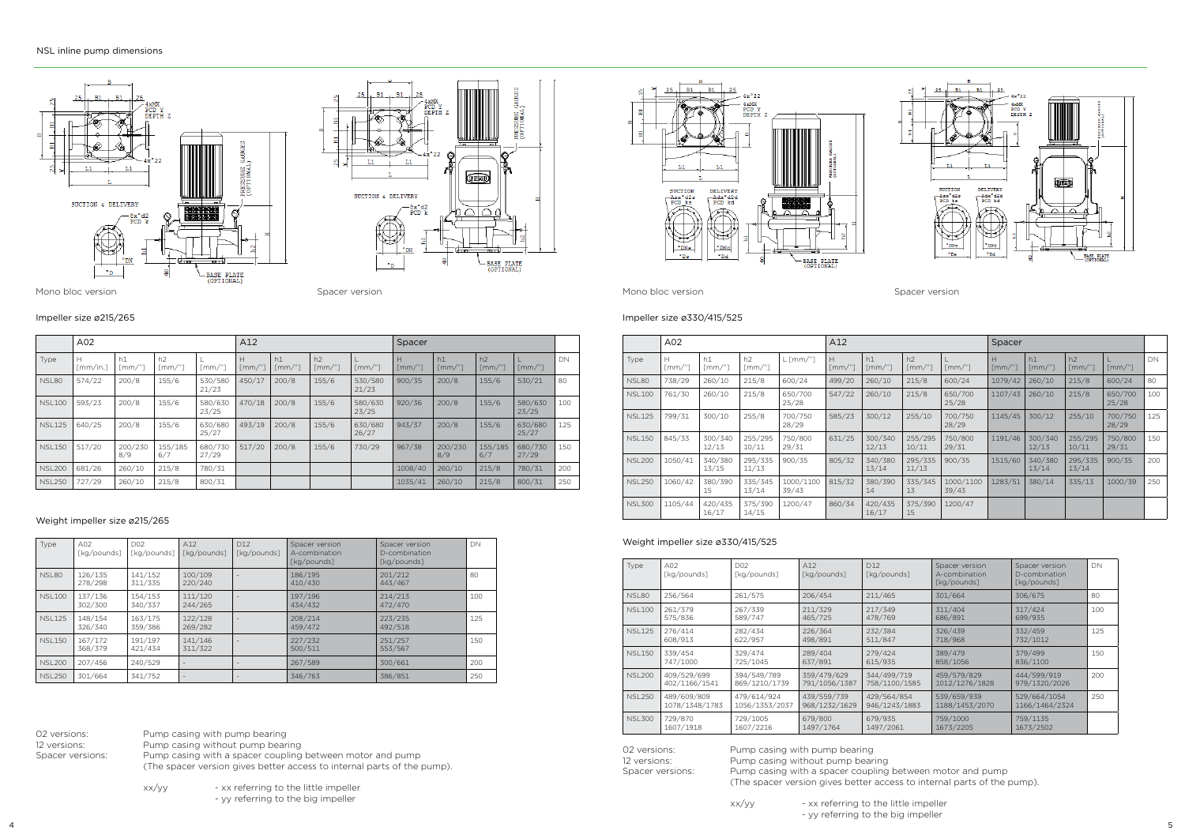|               | A <sub>02</sub>             |                      |                      |                  | A12                       |                            |                            |                      | Spacer                    |                            |                                 |                      |     |
|---------------|-----------------------------|----------------------|----------------------|------------------|---------------------------|----------------------------|----------------------------|----------------------|---------------------------|----------------------------|---------------------------------|----------------------|-----|
| Type          | н<br>$\lceil mm/in. \rceil$ | h1<br>$\Gamma$ mm/"1 | h2<br>$\lceil mm/$ " | $\Gamma$ mm/"    | Н<br>$\lceil mm'' \rceil$ | h1<br>$\lceil mm'' \rceil$ | h2<br>$\lceil mm'' \rceil$ | $\lceil mm'' \rceil$ | H<br>$\lceil mm'' \rceil$ | h1<br>$\lceil mm'' \rceil$ | h <sub>2</sub><br>$\Gamma$ mm/" | $\lceil mm'' \rceil$ | DN  |
| NSL80         | 574/22                      | 200/8                | 155/6                | 530/580<br>21/23 | 450/17                    | 200/8                      | 155/6                      | 530/580<br>21/23     | 900/35                    | 200/8                      | 155/6                           | 530/21               | 80  |
| <b>NSL100</b> | 593/23                      | 200/8                | 155/6                | 580/630<br>23/25 | 470/18                    | 200/8                      | 155/6                      | 580/630<br>23/25     | 920/36                    | 200/8                      | 155/6                           | 580/630<br>23/25     | 100 |
| <b>NSL125</b> | 640/25                      | 200/8                | 155/6                | 630/680<br>25/27 | 493/19                    | 200/8                      | 155/6                      | 630/680<br>26/27     | 943/37                    | 200/8                      | 155/6                           | 630/680<br>25/27     | 125 |
| <b>NSL150</b> | 517/20                      | 200/230<br>8/9       | 155/185<br>6/7       | 680/730<br>27/29 | 517/20                    | 200/8                      | 155/6                      | 730/29               | 967/38                    | 200/230<br>8/9             | 155/185<br>6/7                  | 680/730<br>27/29     | 150 |
| <b>NSL200</b> | 681/26                      | 260/10               | 215/8                | 780/31           |                           |                            |                            |                      | 1008/40                   | 260/10                     | 215/8                           | 780/31               | 200 |
| <b>NSL250</b> | 727/29                      | 260/10               | 215/8                | 800/31           |                           |                            |                            |                      | 1035/41                   | 260/10                     | 215/8                           | 800/31               | 250 |







### Impeller size ø215/265

|               | A <sub>02</sub> |                  |                  |                    | A12                 |                  |                                        |                    | Spacer              |                       |                                   |                  |     |
|---------------|-----------------|------------------|------------------|--------------------|---------------------|------------------|----------------------------------------|--------------------|---------------------|-----------------------|-----------------------------------|------------------|-----|
| Type          | н<br>[mm/"]     | h1<br>[mm/"]     | h2<br>[mm/"]     | $L$ [mm/"]         | Н<br>$\lceil mm/$ " | h1<br>[mm/"]     | h <sub>2</sub><br>$\lceil mm'' \rceil$ | $\lceil mm/$ "]    | н<br>$\lceil mm/$ " | h1<br>$\lceil mm/$ "] | h <sub>2</sub><br>$\lceil mm/$ "] | $\lceil mm/$ "]  | DN  |
| NSL80         | 738/29          | 260/10           | 215/8            | 600/24             | 499/20              | 260/10           | 215/8                                  | 600/24             | 1079/42             | 260/10                | 215/8                             | 600/24           | 80  |
| <b>NSL100</b> | 761/30          | 260/10           | 215/8            | 650/700<br>25/28   | 547/22              | 260/10           | 215/8                                  | 650/700<br>25/28   | 1107/43             | 260/10                | 215/8                             | 650/700<br>25/28 | 100 |
| <b>NSL125</b> | 799/31          | 300/10           | 255/8            | 700/750<br>28/29   | 585/23              | 300/12           | 255/10                                 | 700/750<br>28/29   | 1145/45             | 300/12                | 255/10                            | 700/750<br>28/29 | 125 |
| <b>NSL150</b> | 845/33          | 300/340<br>12/13 | 255/295<br>10/11 | 750/800<br>29/31   | 631/25              | 300/340<br>12/13 | 255/295<br>10/11                       | 750/800<br>29/31   | 1191/46             | 300/340<br>12/13      | 255/295<br>10/11                  | 750/800<br>29/31 | 150 |
| <b>NSL200</b> | 1050/41         | 340/380<br>13/15 | 295/335<br>11/13 | 900/35             | 805/32              | 340/380<br>13/14 | 295/335<br>11/13                       | 900/35             | 1515/60             | 340/380<br>13/14      | 295/335<br>13/14                  | 900/35           | 200 |
| <b>NSL250</b> | 1060/42         | 380/390<br>15    | 335/345<br>13/14 | 1000/1100<br>39/43 | 815/32              | 380/390<br>14    | 335/345<br>13                          | 1000/1100<br>39/43 | 1283/51             | 380/14                | 335/13                            | 1000/39          | 250 |
| <b>NSL300</b> | 1105/44         | 420/435<br>16/17 | 375/390<br>14/15 | 1200/47            | 860/34              | 420/435<br>16/17 | 375/390<br>15                          | 1200/47            |                     |                       |                                   |                  |     |

02 versions: Pump casing with pump bearing 12 versions: Pump casing without pump bearing<br>Spacer versions: Pump casing with a spacer coupling Pump casing with a spacer coupling between motor and pump (The spacer version gives better access to internal parts of the pump).

> xx/yy - xx referring to the little impeller - yy referring to the big impeller

## Impeller size ø330/415/525

02 versions: Pump casing with pump bearing<br>12 versions: Pump casing without pump bearing Pump casing without pump bearing Spacer versions: Pump casing with a spacer coupling between motor and pump (The spacer version gives better access to internal parts of the pump).

| Type           | A02<br>[kg/pounds] | D <sub>02</sub><br>[kg/pounds] | A12<br>[kg/pounds]       | D <sub>12</sub><br>[kg/pounds] | Spacer version<br>A-combination<br>[kg/pounds] | Spacer version<br>D-combination<br>[kg/pounds] | DN  |
|----------------|--------------------|--------------------------------|--------------------------|--------------------------------|------------------------------------------------|------------------------------------------------|-----|
| NSL80          | 126/135<br>278/298 | 141/152<br>311/335             | 100/109<br>220/240       |                                | 186/195<br>410/430                             | 201/212<br>443/467                             | 80  |
| <b>NSL100</b>  | 137/136<br>302/300 | 154/153<br>340/337             | 111/120<br>244/265       |                                | 197/196<br>434/432                             | 214/213<br>472/470                             | 100 |
| <b>NSI 125</b> | 148/154<br>326/340 | 163/175<br>359/386             | 122/128<br>269/282       |                                | 208/214<br>459/472                             | 223/235<br>492/518                             | 125 |
| <b>NSI 150</b> | 167/172<br>368/379 | 191/197<br>421/434             | 141/146<br>311/322       |                                | 227/232<br>500/511                             | 251/257<br>553/567                             | 150 |
| <b>NSL200</b>  | 207/456            | 240/529                        | $\overline{\phantom{a}}$ |                                | 267/589                                        | 300/661                                        | 200 |
| <b>NSL250</b>  | 301/664            | 341/752                        | $\overline{\phantom{a}}$ |                                | 346/763                                        | 386/851                                        | 250 |

## Weight impeller size ø215/265

| Type          | A02<br>[kg/pounds]            | D <sub>02</sub><br>[kg/pounds] | A12<br>[kg/pounds]           | D <sub>12</sub><br>[kg/pounds] | Spacer version<br>A-combination<br>[kg/pounds] | Spacer version<br>D-combination<br>[kg/pounds] | DN  |
|---------------|-------------------------------|--------------------------------|------------------------------|--------------------------------|------------------------------------------------|------------------------------------------------|-----|
| NSL80         | 256/564                       | 261/575                        | 206/454                      | 211/465                        | 301/664                                        | 306/675                                        | 80  |
| <b>NSL100</b> | 261/379<br>575/836            | 267/339<br>589/747             | 211/329<br>465/725           | 217/349<br>478/769             | 311/404<br>686/891                             | 317/424<br>699/935                             | 100 |
| <b>NSL125</b> | 276/414<br>608/913            | 282/434<br>622/957             | 226/364<br>498/891           | 232/384<br>511/847             | 326/439<br>718/968                             | 332/459<br>732/1012                            | 125 |
| <b>NSL150</b> | 339/454<br>747/1000           | 329/474<br>725/1045            | 289/404<br>637/891           | 279/424<br>615/935             | 389/479<br>858/1056                            | 379/499<br>836/1100                            | 150 |
| <b>NSL200</b> | 409/529/699<br>402/1166/1541  | 394/549/789<br>869/1210/1739   | 359/479/629<br>791/1056/1387 | 344/499/719<br>758/1100/1585   | 459/579/829<br>1012/1276/1828                  | 444/599/919<br>979/1320/2026                   | 200 |
| <b>NSL250</b> | 489/609/809<br>1078/1348/1783 | 479/614/924<br>1056/1353/2037  | 439/559/739<br>968/1232/1629 | 429/564/854<br>946/1243/1883   | 539/659/939<br>1188/1453/2070                  | 529/664/1054<br>1166/1464/2324                 | 250 |
| <b>NSL300</b> | 729/870<br>1607/1918          | 729/1005<br>1607/2216          | 679/800<br>1497/1764         | 679/935<br>1497/2061           | 759/1000<br>1673/2205                          | 759/1135<br>1673/2502                          |     |

Mono bloc version Mono bloc version Spacer version Spacer version

## Weight impeller size ø330/415/525

- yy referring to the big impeller



xx/yy - xx referring to the little impeller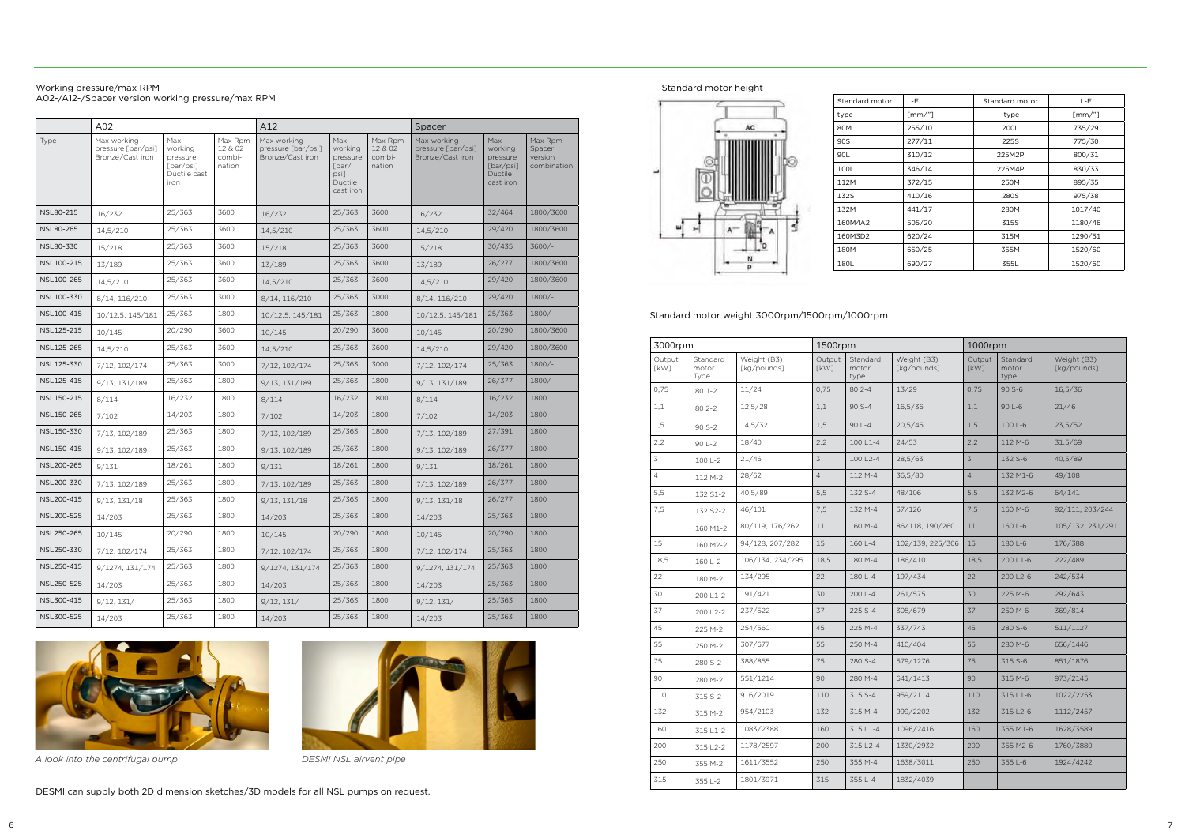|                  | A <sub>02</sub>                                       |                                                                 |                                        | A12                                                   |                                                                     |                                        | Spacer                                                |                                                                 |                                             |  |
|------------------|-------------------------------------------------------|-----------------------------------------------------------------|----------------------------------------|-------------------------------------------------------|---------------------------------------------------------------------|----------------------------------------|-------------------------------------------------------|-----------------------------------------------------------------|---------------------------------------------|--|
| Type             | Max working<br>pressure [bar/psi]<br>Bronze/Cast iron | Max<br>working<br>pressure<br>[bar/psi]<br>Ductile cast<br>iron | Max Rpm<br>12 & 02<br>combi-<br>nation | Max working<br>pressure [bar/psi]<br>Bronze/Cast iron | Max<br>working<br>pressure<br>[bar/<br>psi]<br>Ductile<br>cast iron | Max Rpm<br>12 & 02<br>combi-<br>nation | Max working<br>pressure [bar/psi]<br>Bronze/Cast iron | Max<br>working<br>pressure<br>[bar/psi]<br>Ductile<br>cast iron | Max Rpm<br>Spacer<br>version<br>combination |  |
| <b>NSL80-215</b> | 16/232                                                | 25/363                                                          | 3600                                   | 16/232                                                | 25/363                                                              | 3600                                   | 16/232                                                | 32/464                                                          | 1800/3600                                   |  |
| <b>NSL80-265</b> | 14,5/210                                              | 25/363                                                          | 3600                                   | 14,5/210                                              | 25/363                                                              | 3600                                   | 14,5/210                                              | 29/420                                                          | 1800/3600                                   |  |
| NSL80-330        | 15/218                                                | 25/363                                                          | 3600                                   | 15/218                                                | 25/363                                                              | 3600                                   | 15/218                                                | 30/435                                                          | $3600/-$                                    |  |
| NSL100-215       | 13/189                                                | 25/363                                                          | 3600                                   | 13/189                                                | 25/363                                                              | 3600                                   | 13/189                                                | 26/277                                                          | 1800/3600                                   |  |
| NSL100-265       | 14,5/210                                              | 25/363                                                          | 3600                                   | 14,5/210                                              | 25/363                                                              | 3600                                   | 14,5/210                                              | 29/420                                                          | 1800/3600                                   |  |
| NSL100-330       | 8/14, 116/210                                         | 25/363                                                          | 3000                                   | 8/14, 116/210                                         | 25/363                                                              | 3000                                   | 8/14, 116/210                                         | 29/420                                                          | $1800/-$                                    |  |
| NSL100-415       | 10/12,5, 145/181                                      | 25/363                                                          | 1800                                   | 10/12,5, 145/181                                      | 25/363                                                              | 1800                                   | 10/12,5, 145/181                                      | 25/363                                                          | $1800/-$                                    |  |
| NSL125-215       | 10/145                                                | 20/290                                                          | 3600                                   | 10/145                                                | 20/290                                                              | 3600                                   | 10/145                                                | 20/290                                                          | 1800/3600                                   |  |
| NSL125-265       | 14,5/210                                              | 25/363                                                          | 3600                                   | 14,5/210                                              | 25/363                                                              | 3600                                   | 14,5/210                                              | 29/420                                                          | 1800/3600                                   |  |
| NSL125-330       | 7/12, 102/174                                         | 25/363                                                          | 3000                                   | 7/12, 102/174                                         | 25/363                                                              | 3000                                   | 7/12, 102/174                                         | 25/363                                                          | $1800/-$                                    |  |
| NSL125-415       | 9/13, 131/189                                         | 25/363                                                          | 1800                                   | 9/13, 131/189                                         | 25/363                                                              | 1800                                   | 9/13, 131/189                                         | 26/377                                                          | $1800/-$                                    |  |
| NSL150-215       | 8/114                                                 | 16/232                                                          | 1800                                   | 8/114                                                 | 16/232                                                              | 1800                                   | 8/114                                                 | 16/232                                                          | 1800                                        |  |
| NSL150-265       | 7/102                                                 | 14/203                                                          | 1800                                   | 7/102                                                 | 14/203                                                              | 1800                                   | 7/102                                                 | 14/203                                                          | 1800                                        |  |
| NSL150-330       | 7/13, 102/189                                         | 25/363                                                          | 1800                                   | 7/13, 102/189                                         | 25/363                                                              | 1800                                   | 7/13, 102/189                                         | 27/391                                                          | 1800                                        |  |
| NSL150-415       | 9/13, 102/189                                         | 25/363                                                          | 1800                                   | 9/13, 102/189                                         | 25/363                                                              | 1800                                   | 9/13, 102/189                                         | 26/377                                                          | 1800                                        |  |
| NSL200-265       | 9/131                                                 | 18/261                                                          | 1800                                   | 9/131                                                 | 18/261                                                              | 1800                                   | 9/131                                                 | 18/261                                                          | 1800                                        |  |
| NSL200-330       | 7/13, 102/189                                         | 25/363                                                          | 1800                                   | 7/13, 102/189                                         | 25/363                                                              | 1800                                   | 7/13, 102/189                                         | 26/377                                                          | 1800                                        |  |
| NSL200-415       | 9/13, 131/18                                          | 25/363                                                          | 1800                                   | 9/13, 131/18                                          | 25/363                                                              | 1800                                   | 9/13, 131/18                                          | 26/277                                                          | 1800                                        |  |
| NSL200-525       | 14/203                                                | 25/363                                                          | 1800                                   | 14/203                                                | 25/363                                                              | 1800                                   | 14/203                                                | 25/363                                                          | 1800                                        |  |
| NSL250-265       | 10/145                                                | 20/290                                                          | 1800                                   | 10/145                                                | 20/290                                                              | 1800                                   | 10/145                                                | 20/290                                                          | 1800                                        |  |
| NSL250-330       | 7/12, 102/174                                         | 25/363                                                          | 1800                                   | 7/12, 102/174                                         | 25/363                                                              | 1800                                   | 7/12, 102/174                                         | 25/363                                                          | 1800                                        |  |
| NSL250-415       | 9/1274, 131/174                                       | 25/363                                                          | 1800                                   | 9/1274, 131/174                                       | 25/363                                                              | 1800                                   | 9/1274, 131/174                                       | 25/363                                                          | 1800                                        |  |
| NSL250-525       | 14/203                                                | 25/363                                                          | 1800                                   | 14/203                                                | 25/363                                                              | 1800                                   | 14/203                                                | 25/363                                                          | 1800                                        |  |
| NSL300-415       | 9/12, 131/                                            | 25/363                                                          | 1800                                   | 9/12, 131/                                            | 25/363                                                              | 1800                                   | 9/12, 131/                                            | 25/363                                                          | 1800                                        |  |
| NSL300-525       | 14/203                                                | 25/363                                                          | 1800                                   | 14/203                                                | 25/363                                                              | 1800                                   | 14/203                                                | 25/363                                                          | 1800                                        |  |
|                  |                                                       |                                                                 |                                        |                                                       |                                                                     |                                        |                                                       |                                                                 |                                             |  |

### Working pressure/max RPM A02-/A12-/Spacer version working pressure/max RPM

| 3000rpm               |                           |                            | 1500rpm               |                           |                            | 1000rpm               |                           |                            |
|-----------------------|---------------------------|----------------------------|-----------------------|---------------------------|----------------------------|-----------------------|---------------------------|----------------------------|
| Output<br><b>TkW1</b> | Standard<br>motor<br>Type | Weight (B3)<br>[kg/pounds] | Output<br><b>TkW1</b> | Standard<br>motor<br>type | Weight (B3)<br>[kg/pounds] | Output<br><b>TkW1</b> | Standard<br>motor<br>type | Weight (B3)<br>[kg/pounds] |
| 0,75                  | 80 1-2                    | 11/24                      | 0,75                  | $802 - -4$                | 13/29                      | 0,75                  | $90S-6$                   | 16,5/36                    |
| 1,1                   | $802 - -2$                | 12,5/28                    | 1,1                   | $90 S - 4$                | 16.5/36                    | 1,1                   | $90 L-6$                  | 21/46                      |
| 1,5                   | 90 S-2                    | 14,5/32                    | 1,5                   | 90 L-4                    | 20,5/45                    | 1,5                   | 100 L-6                   | 23,5/52                    |
| 2,2                   | 90 L-2                    | 18/40                      | 2,2                   | 100 L1-4                  | 24/53                      | 2,2                   | 112 M-6                   | 31,5/69                    |
| 3                     | 100 L-2                   | 21/46                      | 3                     | 100 L2-4                  | 28,5/63                    | 3                     | 132 S-6                   | 40,5/89                    |
| $\overline{4}$        | 112 M-2                   | 28/62                      | $\overline{4}$        | 112 M-4                   | 36.5/80                    | $\overline{4}$        | 132 M1-6                  | 49/108                     |
| 5,5                   | 132 S1-2                  | 40,5/89                    | 5,5                   | 132 S-4                   | 48/106                     | 5,5                   | 132 M2-6                  | 64/141                     |
| 7,5                   | 132 S2-2                  | 46/101                     | 7,5                   | 132 M-4                   | 57/126                     | 7,5                   | 160 M-6                   | 92/111, 203/244            |
| 11                    | 160 M1-2                  | 80/119, 176/262            | 11                    | 160 M-4                   | 86/118, 190/260            | 11                    | 160 L-6                   | 105/132, 231/291           |
| 15                    | 160 M2-2                  | 94/128, 207/282            | 15                    | 160 L-4                   | 102/139, 225/306           | 15                    | 180 L-6                   | 176/388                    |
| 18,5                  | 160 L-2                   | 106/134, 234/295           | 18,5                  | 180 M-4                   | 186/410                    | 18,5                  | 200 L1-6                  | 222/489                    |
| 22                    | 180 M-2                   | 134/295                    | 22                    | 180 L-4                   | 197/434                    | 22                    | 200 L2-6                  | 242/534                    |
| 30                    | 200 L1-2                  | 191/421                    | 30                    | 200 L-4                   | 261/575                    | 30                    | 225 M-6                   | 292/643                    |
| 37                    | 200 L <sub>2</sub> -2     | 237/522                    | 37                    | 225 S-4                   | 308/679                    | 37                    | 250 M-6                   | 369/814                    |
| 45                    | 225 M-2                   | 254/560                    | 45                    | 225 M-4                   | 337/743                    | 45                    | 280 S-6                   | 511/1127                   |
| 55                    | 250 M-2                   | 307/677                    | 55                    | 250 M-4                   | 410/404                    | 55                    | 280 M-6                   | 656/1446                   |
| 75                    | 280 S-2                   | 388/855                    | 75                    | 280 S-4                   | 579/1276                   | 75                    | 315 S-6                   | 851/1876                   |
| 90                    | 280 M-2                   | 551/1214                   | 90                    | 280 M-4                   | 641/1413                   | 90                    | 315 M-6                   | 973/2145                   |
| 110                   | 315 S-2                   | 916/2019                   | 110                   | 315 S-4                   | 959/2114                   | 110                   | 315L1-6                   | 1022/2253                  |
| 132                   | 315 M-2                   | 954/2103                   | 132                   | 315 M-4                   | 999/2202                   | 132                   | 315 L2-6                  | 1112/2457                  |
| 160                   | 315L1-2                   | 1083/2388                  | 160                   | 315 L1-4                  | 1096/2416                  | 160                   | 355 M1-6                  | 1628/3589                  |
| 200                   | 315 L2-2                  | 1178/2597                  | 200                   | 315 L2-4                  | 1330/2932                  | 200                   | 355 M2-6                  | 1760/3880                  |
| 250                   | 355 M-2                   | 1611/3552                  | 250                   | 355 M-4                   | 1638/3011                  | 250                   | 355 L-6                   | 1924/4242                  |
| 315                   | 355 L-2                   | 1801/3971                  | 315                   | 355 L-4                   | 1832/4039                  |                       |                           |                            |

## Standard motor weight 3000rpm/1500rpm/1000rpm



| Standard motor | L-E       | Standard motor | L-E            |
|----------------|-----------|----------------|----------------|
| type           | $[mm/"$ ] | type           | $\lceil mm/$ " |
| 80M            | 255/10    | 200L           | 735/29         |
| 90S            | 277/11    | 225S           | 775/30         |
| 90L            | 310/12    | 225M2P         | 800/31         |
| 100L           | 346/14    | 225M4P         | 830/33         |
| 112M           | 372/15    | 250M           | 895/35         |
| 132S           | 410/16    | 280S           | 975/38         |
| 132M           | 441/17    | 280M           | 1017/40        |
| 160M4A2        | 505/20    | 315S           | 1180/46        |
| 160M3D2        | 620/24    | 315M           | 1290/51        |
| 180M           | 650/25    | 355M           | 1520/60        |
| 180L           | 690/27    | 355L           | 1520/60        |
|                |           |                |                |

Standard motor height



DESMI can supply both 2D dimension sketches/3D models for all NSL pumps on request.



*A look into the centrifugal pump DESMI NSL airvent pipe*